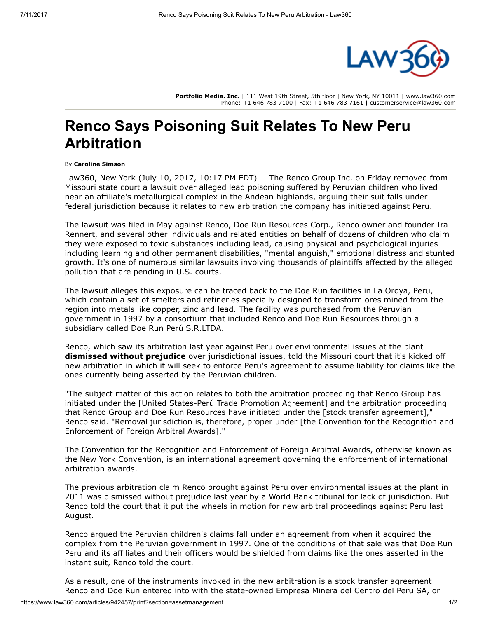

Portfolio Media. Inc. | 111 West 19th Street, 5th floor | New York, NY 10011 | www.law360.com Phone: +1 646 783 7100 | Fax: +1 646 783 7161 | customerservice@law360.com

## Renco Says Poisoning Suit Relates To New Peru Arbitration

## By Caroline Simson

Law360, New York (July 10, 2017, 10:17 PM EDT) -- The Renco [Group](https://www.law360.com/companies/the-renco-group) Inc. on Friday removed from Missouri state court a lawsuit over alleged lead poisoning suffered by Peruvian children who lived near an affiliate's metallurgical complex in the Andean highlands, arguing their suit falls under federal jurisdiction because it relates to new arbitration the company has initiated against Peru.

The lawsuit was filed in May against Renco, Doe Run Resources Corp., Renco owner and founder Ira Rennert, and several other individuals and related entities on behalf of dozens of children who claim they were exposed to toxic substances including lead, causing physical and psychological injuries including learning and other permanent disabilities, "mental anguish," emotional distress and stunted growth. It's one of numerous similar lawsuits involving thousands of plaintiffs affected by the alleged pollution that are pending in U.S. courts.

The lawsuit alleges this exposure can be traced back to the Doe Run facilities in La Oroya, Peru, which contain a set of smelters and refineries specially designed to transform ores mined from the region into metals like copper, zinc and lead. The facility was purchased from the Peruvian government in 1997 by a consortium that included Renco and Doe Run Resources through a subsidiary called Doe Run Perú S.R.LTDA.

Renco, which saw its arbitration last year against Peru over environmental issues at the plant [dismissed](https://www.law360.com/articles/818469) without prejudice over jurisdictional issues, told the Missouri court that it's kicked off new arbitration in which it will seek to enforce Peru's agreement to assume liability for claims like the ones currently being asserted by the Peruvian children.

"The subject matter of this action relates to both the arbitration proceeding that Renco Group has initiated under the [United States-Perú Trade Promotion Agreement] and the arbitration proceeding that Renco Group and Doe Run Resources have initiated under the [stock transfer agreement]," Renco said. "Removal jurisdiction is, therefore, proper under [the Convention for the Recognition and Enforcement of Foreign Arbitral Awards]."

The Convention for the Recognition and Enforcement of Foreign Arbitral Awards, otherwise known as the New York Convention, is an international agreement governing the enforcement of international arbitration awards.

The previous arbitration claim Renco brought against Peru over environmental issues at the plant in 2011 was dismissed without prejudice last year by a [World](https://www.law360.com/agencies/world-bank-group) Bank tribunal for lack of jurisdiction. But Renco told the court that it put the wheels in motion for new arbitral proceedings against Peru last August.

Renco argued the Peruvian children's claims fall under an agreement from when it acquired the complex from the Peruvian government in 1997. One of the conditions of that sale was that Doe Run Peru and its affiliates and their officers would be shielded from claims like the ones asserted in the instant suit, Renco told the court.

As a result, one of the instruments invoked in the new arbitration is a stock transfer agreement Renco and Doe Run entered into with the state-owned Empresa Minera del Centro del Peru SA, or